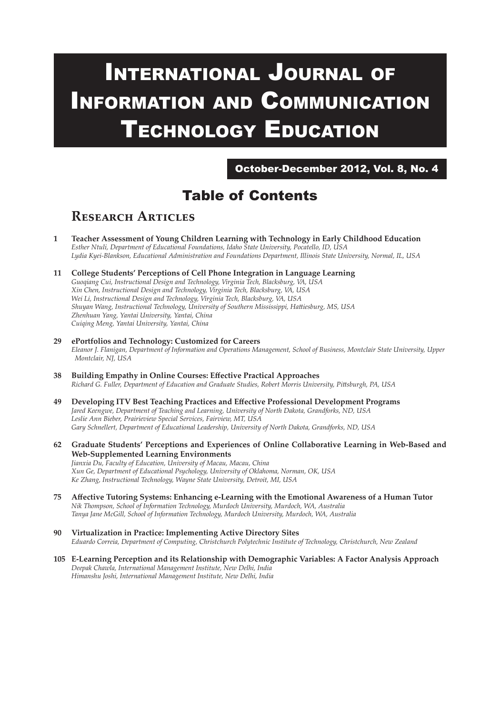# INTERNATIONAL JOURNAL OF **INFORMATION AND COMMUNICATION TECHNOLOGY EDUCATION**

#### October-December 2012, Vol. 8, No. 4

## Table of Contents

### **Research Articles**

**1 Teacher Assessment of Young Children Learning with Technology in Early Childhood Education**  *Esther Ntuli, Department of Educational Foundations, Idaho State University, Pocatello, ID, USA Lydia Kyei-Blankson, Educational Administration and Foundations Department, Illinois State University, Normal, IL, USA*

#### **11 College Students' Perceptions of Cell Phone Integration in Language Learning**  *Guoqiang Cui, Instructional Design and Technology, Virginia Tech, Blacksburg, VA, USA Xin Chen, Instructional Design and Technology, Virginia Tech, Blacksburg, VA, USA Wei Li, Instructional Design and Technology, Virginia Tech, Blacksburg, VA, USA Shuyan Wang, Instructional Technology, University of Southern Mississippi, Hattiesburg, MS, USA Zhenhuan Yang, Yantai University, Yantai, China Cuiqing Meng, Yantai University, Yantai, China*

- **29 ePortfolios and Technology: Customized for Careers** Eleanor J. Flanigan, Department of Information and Operations Management, School of Business, Montclair State University, Upper  *Montclair, NJ, USA*
- **38 Building Empathy in Online Courses: Effective Practical Approaches**  *Richard G. Fuller, Department of Education and Graduate Studies, Robert Morris University, Pittsburgh, PA, USA*
- **49 Developing ITV Best Teaching Practices and Effective Professional Development Programs**  *Jared Keengwe, Department of Teaching and Learning, University of North Dakota, Grandforks, ND, USA Leslie Ann Bieber, Prairieview Special Services, Fairview, MT, USA Gary Schnellert, Department of Educational Leadership, University of North Dakota, Grandforks, ND, USA*
- **62 Graduate Students' Perceptions and Experiences of Online Collaborative Learning in Web-Based and Web-Supplemented Learning Environments**  *Jianxia Du, Faculty of Education, University of Macau, Macau, China Xun Ge, Department of Educational Psychology, University of Oklahoma, Norman, OK, USA Ke Zhang, Instructional Technology, Wayne State University, Detroit, MI, USA*
- **75 Affective Tutoring Systems: Enhancing e-Learning with the Emotional Awareness of a Human Tutor**  *Nik Thompson, School of Information Technology, Murdoch University, Murdoch, WA, Australia Tanya Jane McGill, School of Information Technology, Murdoch University, Murdoch, WA, Australia*
- **90 Virtualization in Practice: Implementing Active Directory Sites**  *Eduardo Correia, Department of Computing, Christchurch Polytechnic Institute of Technology, Christchurch, New Zealand*
- **105 E-Learning Perception and its Relationship with Demographic Variables: A Factor Analysis Approach**  *Deepak Chawla, International Management Institute, New Delhi, India Himanshu Joshi, International Management Institute, New Delhi, India*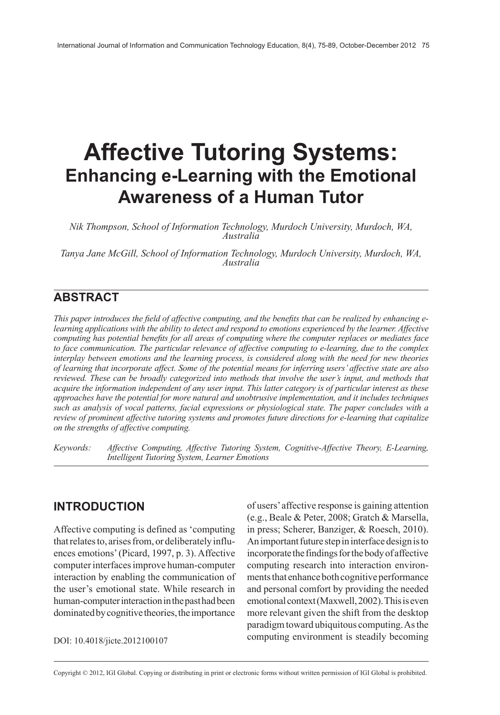## **Affective Tutoring Systems: Enhancing e-Learning with the Emotional Awareness of a Human Tutor**

*Nik Thompson, School of Information Technology, Murdoch University, Murdoch, WA, Australia*

*Tanya Jane McGill, School of Information Technology, Murdoch University, Murdoch, WA, Australia*

## **ABSTRACT**

*This paper introduces the field of affective computing, and the benefits that can be realized by enhancing elearning applications with the ability to detect and respond to emotions experienced by the learner. Affective computing has potential benefits for all areas of computing where the computer replaces or mediates face to face communication. The particular relevance of affective computing to e-learning, due to the complex interplay between emotions and the learning process, is considered along with the need for new theories of learning that incorporate affect. Some of the potential means for inferring users' affective state are also reviewed. These can be broadly categorized into methods that involve the user's input, and methods that acquire the information independent of any user input. This latter category is of particular interest as these approaches have the potential for more natural and unobtrusive implementation, and it includes techniques such as analysis of vocal patterns, facial expressions or physiological state. The paper concludes with a review of prominent affective tutoring systems and promotes future directions for e-learning that capitalize on the strengths of affective computing.*

*Keywords: Affective Computing, Affective Tutoring System, Cognitive-Affective Theory, E-Learning, Intelligent Tutoring System, Learner Emotions*

#### **INTRODUCTION**

Affective computing is defined as 'computing that relates to, arises from, or deliberately influences emotions' (Picard, 1997, p. 3). Affective computer interfaces improve human-computer interaction by enabling the communication of the user's emotional state. While research in human-computer interaction in the past had been dominated by cognitive theories, the importance

DOI: 10.4018/jicte.2012100107

of users' affective response is gaining attention (e.g., Beale & Peter, 2008; Gratch & Marsella, in press; Scherer, Banziger, & Roesch, 2010). An important future step in interface design is to incorporate the findings for the body of affective computing research into interaction environments that enhance both cognitive performance and personal comfort by providing the needed emotional context (Maxwell, 2002). This is even more relevant given the shift from the desktop paradigm toward ubiquitous computing. As the computing environment is steadily becoming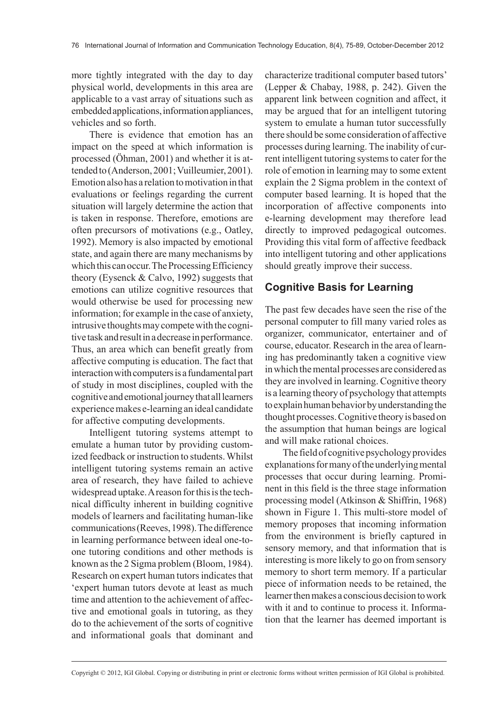more tightly integrated with the day to day physical world, developments in this area are applicable to a vast array of situations such as embedded applications, information appliances, vehicles and so forth.

There is evidence that emotion has an impact on the speed at which information is processed (Öhman, 2001) and whether it is attended to (Anderson, 2001; Vuilleumier, 2001). Emotion also has a relation to motivation in that evaluations or feelings regarding the current situation will largely determine the action that is taken in response. Therefore, emotions are often precursors of motivations (e.g., Oatley, 1992). Memory is also impacted by emotional state, and again there are many mechanisms by which this can occur. The Processing Efficiency theory (Eysenck & Calvo, 1992) suggests that emotions can utilize cognitive resources that would otherwise be used for processing new information; for example in the case of anxiety, intrusive thoughts may compete with the cognitive task and result in a decrease in performance. Thus, an area which can benefit greatly from affective computing is education. The fact that interaction with computers is a fundamental part of study in most disciplines, coupled with the cognitive and emotional journey that all learners experience makes e-learning an ideal candidate for affective computing developments.

Intelligent tutoring systems attempt to emulate a human tutor by providing customized feedback or instruction to students. Whilst intelligent tutoring systems remain an active area of research, they have failed to achieve widespread uptake. A reason for this is the technical difficulty inherent in building cognitive models of learners and facilitating human-like communications (Reeves, 1998). The difference in learning performance between ideal one-toone tutoring conditions and other methods is known as the 2 Sigma problem (Bloom, 1984). Research on expert human tutors indicates that 'expert human tutors devote at least as much time and attention to the achievement of affective and emotional goals in tutoring, as they do to the achievement of the sorts of cognitive and informational goals that dominant and

characterize traditional computer based tutors' (Lepper & Chabay, 1988, p. 242). Given the apparent link between cognition and affect, it may be argued that for an intelligent tutoring system to emulate a human tutor successfully there should be some consideration of affective processes during learning. The inability of current intelligent tutoring systems to cater for the role of emotion in learning may to some extent explain the 2 Sigma problem in the context of computer based learning. It is hoped that the incorporation of affective components into e-learning development may therefore lead directly to improved pedagogical outcomes. Providing this vital form of affective feedback into intelligent tutoring and other applications should greatly improve their success.

#### **Cognitive Basis for Learning**

The past few decades have seen the rise of the personal computer to fill many varied roles as organizer, communicator, entertainer and of course, educator. Research in the area of learning has predominantly taken a cognitive view in which the mental processes are considered as they are involved in learning. Cognitive theory is a learning theory of psychology that attempts to explain human behavior by understanding the thought processes. Cognitive theory is based on the assumption that human beings are logical and will make rational choices.

The field of cognitive psychology provides explanations for many of the underlying mental processes that occur during learning. Prominent in this field is the three stage information processing model (Atkinson & Shiffrin, 1968) shown in Figure 1. This multi-store model of memory proposes that incoming information from the environment is briefly captured in sensory memory, and that information that is interesting is more likely to go on from sensory memory to short term memory. If a particular piece of information needs to be retained, the learner then makes a conscious decision to work with it and to continue to process it. Information that the learner has deemed important is

Copyright © 2012, IGI Global. Copying or distributing in print or electronic forms without written permission of IGI Global is prohibited.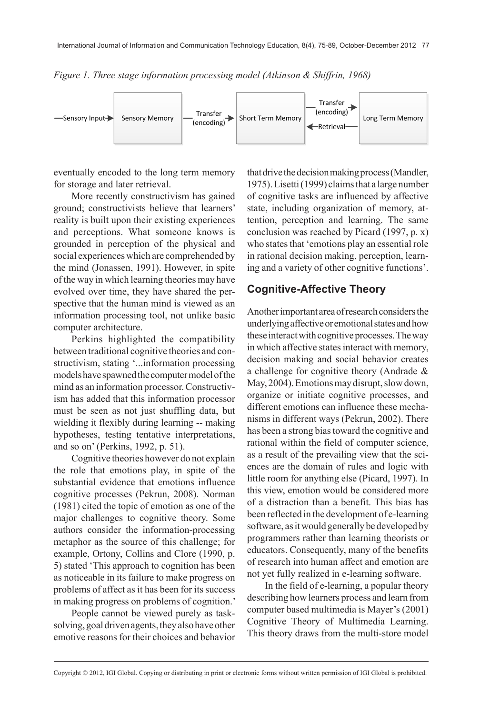*Figure 1. Three stage information processing model (Atkinson & Shiffrin, 1968)* 



eventually encoded to the long term memory for storage and later retrieval.

More recently constructivism has gained ground; constructivists believe that learners' reality is built upon their existing experiences and perceptions. What someone knows is grounded in perception of the physical and social experiences which are comprehended by the mind (Jonassen, 1991). However, in spite of the way in which learning theories may have evolved over time, they have shared the perspective that the human mind is viewed as an information processing tool, not unlike basic computer architecture.

Perkins highlighted the compatibility between traditional cognitive theories and constructivism, stating '...information processing models have spawned the computer model of the mind as an information processor. Constructivism has added that this information processor must be seen as not just shuffling data, but wielding it flexibly during learning -- making hypotheses, testing tentative interpretations, and so on' (Perkins, 1992, p. 51).

Cognitive theories however do not explain the role that emotions play, in spite of the substantial evidence that emotions influence cognitive processes (Pekrun, 2008). Norman (1981) cited the topic of emotion as one of the major challenges to cognitive theory. Some authors consider the information-processing metaphor as the source of this challenge; for example, Ortony, Collins and Clore (1990, p. 5) stated 'This approach to cognition has been as noticeable in its failure to make progress on problems of affect as it has been for its success in making progress on problems of cognition.'

People cannot be viewed purely as tasksolving, goal driven agents, they also have other emotive reasons for their choices and behavior that drive the decision making process (Mandler, 1975). Lisetti (1999) claims that a large number of cognitive tasks are influenced by affective state, including organization of memory, attention, perception and learning. The same conclusion was reached by Picard (1997, p. x) who states that 'emotions play an essential role in rational decision making, perception, learning and a variety of other cognitive functions'.

#### **Cognitive-Affective Theory**

Another important area of research considers the underlying affective or emotional states and how these interact with cognitive processes. The way in which affective states interact with memory, decision making and social behavior creates a challenge for cognitive theory (Andrade & May, 2004). Emotions may disrupt, slow down, organize or initiate cognitive processes, and different emotions can influence these mechanisms in different ways (Pekrun, 2002). There has been a strong bias toward the cognitive and rational within the field of computer science, as a result of the prevailing view that the sciences are the domain of rules and logic with little room for anything else (Picard, 1997). In this view, emotion would be considered more of a distraction than a benefit. This bias has been reflected in the development of e-learning software, as it would generally be developed by programmers rather than learning theorists or educators. Consequently, many of the benefits of research into human affect and emotion are not yet fully realized in e-learning software.

In the field of e-learning, a popular theory describing how learners process and learn from computer based multimedia is Mayer's (2001) Cognitive Theory of Multimedia Learning. This theory draws from the multi-store model

Copyright © 2012, IGI Global. Copying or distributing in print or electronic forms without written permission of IGI Global is prohibited.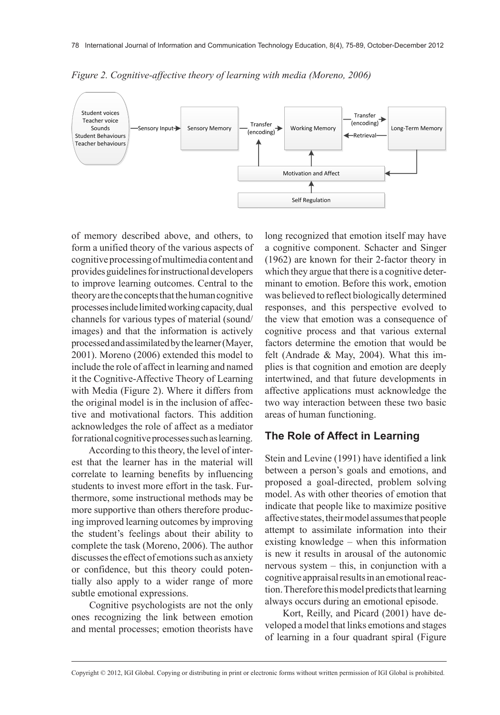

*Figure 2. Cognitive-affective theory of learning with media (Moreno, 2006)* 

of memory described above, and others, to form a unified theory of the various aspects of cognitive processing of multimedia content and provides guidelines for instructional developers to improve learning outcomes. Central to the theory are the concepts that the human cognitive processes include limited working capacity, dual channels for various types of material (sound/ images) and that the information is actively processed and assimilated by the learner (Mayer, 2001). Moreno (2006) extended this model to include the role of affect in learning and named it the Cognitive-Affective Theory of Learning with Media (Figure 2). Where it differs from the original model is in the inclusion of affective and motivational factors. This addition acknowledges the role of affect as a mediator for rational cognitive processes such as learning.

According to this theory, the level of interest that the learner has in the material will correlate to learning benefits by influencing students to invest more effort in the task. Furthermore, some instructional methods may be more supportive than others therefore producing improved learning outcomes by improving the student's feelings about their ability to complete the task (Moreno, 2006). The author discusses the effect of emotions such as anxiety or confidence, but this theory could potentially also apply to a wider range of more subtle emotional expressions.

Cognitive psychologists are not the only ones recognizing the link between emotion and mental processes; emotion theorists have

long recognized that emotion itself may have a cognitive component. Schacter and Singer (1962) are known for their 2-factor theory in which they argue that there is a cognitive determinant to emotion. Before this work, emotion was believed to reflect biologically determined responses, and this perspective evolved to the view that emotion was a consequence of cognitive process and that various external factors determine the emotion that would be felt (Andrade & May, 2004). What this implies is that cognition and emotion are deeply intertwined, and that future developments in affective applications must acknowledge the two way interaction between these two basic areas of human functioning.

#### **The Role of Affect in Learning**

Stein and Levine (1991) have identified a link between a person's goals and emotions, and proposed a goal-directed, problem solving model. As with other theories of emotion that indicate that people like to maximize positive affective states, their model assumes that people attempt to assimilate information into their existing knowledge – when this information is new it results in arousal of the autonomic nervous system – this, in conjunction with a cognitive appraisal results in an emotional reaction. Therefore this model predicts that learning always occurs during an emotional episode.

Kort, Reilly, and Picard (2001) have developed a model that links emotions and stages of learning in a four quadrant spiral (Figure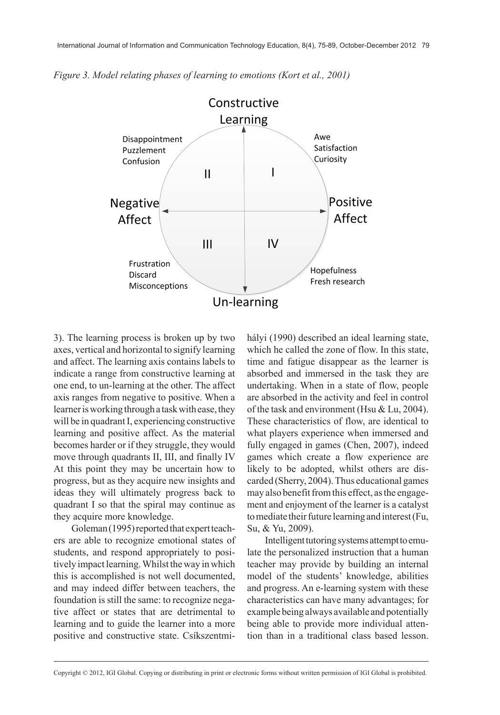

*Figure 3. Model relating phases of learning to emotions (Kort et al., 2001)*

3). The learning process is broken up by two axes, vertical and horizontal to signify learning and affect. The learning axis contains labels to indicate a range from constructive learning at one end, to un-learning at the other. The affect axis ranges from negative to positive. When a learner is working through a task with ease, they will be in quadrant I, experiencing constructive learning and positive affect. As the material becomes harder or if they struggle, they would move through quadrants II, III, and finally IV At this point they may be uncertain how to progress, but as they acquire new insights and ideas they will ultimately progress back to quadrant I so that the spiral may continue as they acquire more knowledge.

Goleman (1995) reported that expert teachers are able to recognize emotional states of students, and respond appropriately to positively impact learning. Whilst the way in which this is accomplished is not well documented, and may indeed differ between teachers, the foundation is still the same: to recognize negative affect or states that are detrimental to learning and to guide the learner into a more positive and constructive state. Csíkszentmihályi (1990) described an ideal learning state, which he called the zone of flow. In this state, time and fatigue disappear as the learner is absorbed and immersed in the task they are undertaking. When in a state of flow, people are absorbed in the activity and feel in control of the task and environment (Hsu & Lu, 2004). These characteristics of flow, are identical to what players experience when immersed and fully engaged in games (Chen, 2007), indeed games which create a flow experience are likely to be adopted, whilst others are discarded (Sherry, 2004). Thus educational games may also benefit from this effect, as the engagement and enjoyment of the learner is a catalyst to mediate their future learning and interest (Fu, Su, & Yu, 2009).

Intelligent tutoring systems attempt to emulate the personalized instruction that a human teacher may provide by building an internal model of the students' knowledge, abilities and progress. An e-learning system with these characteristics can have many advantages; for example being always available and potentially being able to provide more individual attention than in a traditional class based lesson.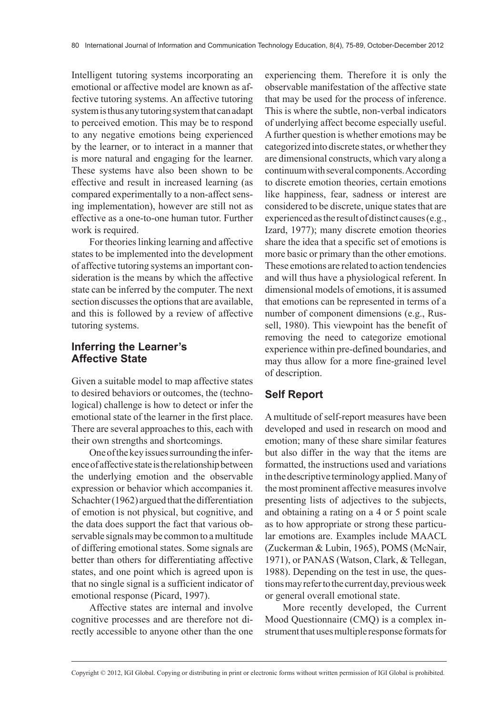Intelligent tutoring systems incorporating an emotional or affective model are known as affective tutoring systems. An affective tutoring system is thus any tutoring system that can adapt to perceived emotion. This may be to respond to any negative emotions being experienced by the learner, or to interact in a manner that is more natural and engaging for the learner. These systems have also been shown to be effective and result in increased learning (as compared experimentally to a non-affect sensing implementation), however are still not as effective as a one-to-one human tutor. Further work is required.

For theories linking learning and affective states to be implemented into the development of affective tutoring systems an important consideration is the means by which the affective state can be inferred by the computer. The next section discusses the options that are available, and this is followed by a review of affective tutoring systems.

#### **Inferring the Learner's Affective State**

Given a suitable model to map affective states to desired behaviors or outcomes, the (technological) challenge is how to detect or infer the emotional state of the learner in the first place. There are several approaches to this, each with their own strengths and shortcomings.

One of the key issues surrounding the inference of affective state is the relationship between the underlying emotion and the observable expression or behavior which accompanies it. Schachter (1962) argued that the differentiation of emotion is not physical, but cognitive, and the data does support the fact that various observable signals may be common to a multitude of differing emotional states. Some signals are better than others for differentiating affective states, and one point which is agreed upon is that no single signal is a sufficient indicator of emotional response (Picard, 1997).

Affective states are internal and involve cognitive processes and are therefore not directly accessible to anyone other than the one experiencing them. Therefore it is only the observable manifestation of the affective state that may be used for the process of inference. This is where the subtle, non-verbal indicators of underlying affect become especially useful. A further question is whether emotions may be categorized into discrete states, or whether they are dimensional constructs, which vary along a continuum with several components. According to discrete emotion theories, certain emotions like happiness, fear, sadness or interest are considered to be discrete, unique states that are experienced as the result of distinct causes (e.g., Izard, 1977); many discrete emotion theories share the idea that a specific set of emotions is more basic or primary than the other emotions. These emotions are related to action tendencies and will thus have a physiological referent. In dimensional models of emotions, it is assumed that emotions can be represented in terms of a number of component dimensions (e.g., Russell, 1980). This viewpoint has the benefit of removing the need to categorize emotional experience within pre-defined boundaries, and may thus allow for a more fine-grained level of description.

#### **Self Report**

A multitude of self-report measures have been developed and used in research on mood and emotion; many of these share similar features but also differ in the way that the items are formatted, the instructions used and variations in the descriptive terminology applied. Many of the most prominent affective measures involve presenting lists of adjectives to the subjects, and obtaining a rating on a 4 or 5 point scale as to how appropriate or strong these particular emotions are. Examples include MAACL (Zuckerman & Lubin, 1965), POMS (McNair, 1971), or PANAS (Watson, Clark, & Tellegan, 1988). Depending on the test in use, the questions may refer to the current day, previous week or general overall emotional state.

More recently developed, the Current Mood Questionnaire (CMQ) is a complex instrument that uses multiple response formats for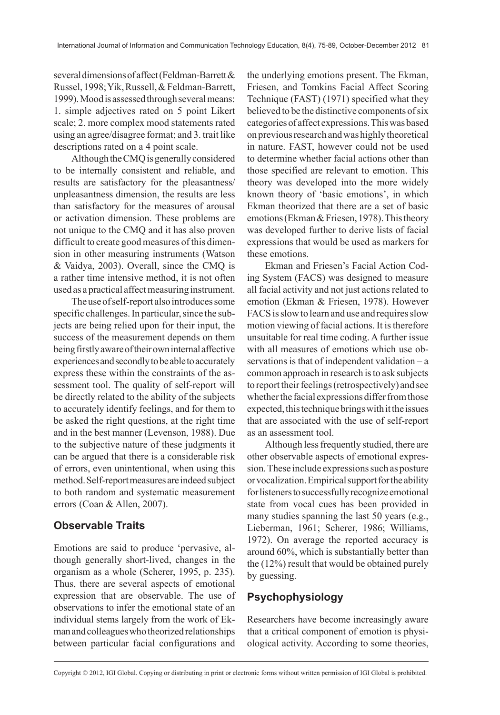several dimensions of affect (Feldman-Barrett & Russel, 1998; Yik, Russell, & Feldman-Barrett, 1999). Mood is assessed through several means: 1. simple adjectives rated on 5 point Likert scale; 2. more complex mood statements rated using an agree/disagree format; and 3. trait like descriptions rated on a 4 point scale.

Although the CMQ is generally considered to be internally consistent and reliable, and results are satisfactory for the pleasantness/ unpleasantness dimension, the results are less than satisfactory for the measures of arousal or activation dimension. These problems are not unique to the CMQ and it has also proven difficult to create good measures of this dimension in other measuring instruments (Watson & Vaidya, 2003). Overall, since the CMQ is a rather time intensive method, it is not often used as a practical affect measuring instrument.

The use of self-report also introduces some specific challenges. In particular, since the subjects are being relied upon for their input, the success of the measurement depends on them being firstly aware of their own internal affective experiences and secondly to be able to accurately express these within the constraints of the assessment tool. The quality of self-report will be directly related to the ability of the subjects to accurately identify feelings, and for them to be asked the right questions, at the right time and in the best manner (Levenson, 1988). Due to the subjective nature of these judgments it can be argued that there is a considerable risk of errors, even unintentional, when using this method. Self-report measures are indeed subject to both random and systematic measurement errors (Coan & Allen, 2007).

#### **Observable Traits**

Emotions are said to produce 'pervasive, although generally short-lived, changes in the organism as a whole (Scherer, 1995, p. 235). Thus, there are several aspects of emotional expression that are observable. The use of observations to infer the emotional state of an individual stems largely from the work of Ekman and colleagues who theorized relationships between particular facial configurations and

the underlying emotions present. The Ekman, Friesen, and Tomkins Facial Affect Scoring Technique (FAST) (1971) specified what they believed to be the distinctive components of six categories of affect expressions. This was based on previous research and was highly theoretical in nature. FAST, however could not be used to determine whether facial actions other than those specified are relevant to emotion. This theory was developed into the more widely known theory of 'basic emotions', in which Ekman theorized that there are a set of basic emotions (Ekman & Friesen, 1978). This theory was developed further to derive lists of facial expressions that would be used as markers for these emotions.

Ekman and Friesen's Facial Action Coding System (FACS) was designed to measure all facial activity and not just actions related to emotion (Ekman & Friesen, 1978). However FACS is slow to learn and use and requires slow motion viewing of facial actions. It is therefore unsuitable for real time coding. A further issue with all measures of emotions which use observations is that of independent validation – a common approach in research is to ask subjects to report their feelings (retrospectively) and see whether the facial expressions differ from those expected, this technique brings with it the issues that are associated with the use of self-report as an assessment tool.

Although less frequently studied, there are other observable aspects of emotional expression. These include expressions such as posture or vocalization. Empirical support for the ability for listeners to successfully recognize emotional state from vocal cues has been provided in many studies spanning the last 50 years (e.g., Lieberman, 1961; Scherer, 1986; Williams, 1972). On average the reported accuracy is around 60%, which is substantially better than the (12%) result that would be obtained purely by guessing.

#### **Psychophysiology**

Researchers have become increasingly aware that a critical component of emotion is physiological activity. According to some theories,

Copyright © 2012, IGI Global. Copying or distributing in print or electronic forms without written permission of IGI Global is prohibited.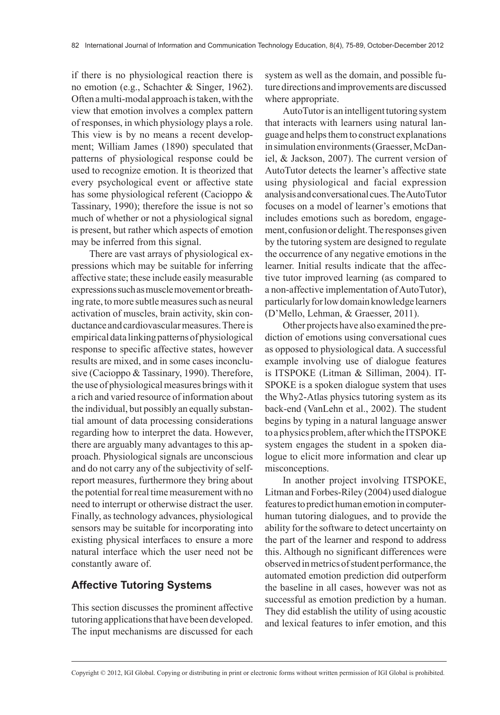if there is no physiological reaction there is no emotion (e.g., Schachter & Singer, 1962). Often a multi-modal approach is taken, with the view that emotion involves a complex pattern of responses, in which physiology plays a role. This view is by no means a recent development; William James (1890) speculated that patterns of physiological response could be used to recognize emotion. It is theorized that every psychological event or affective state has some physiological referent (Cacioppo & Tassinary, 1990); therefore the issue is not so much of whether or not a physiological signal is present, but rather which aspects of emotion may be inferred from this signal.

There are vast arrays of physiological expressions which may be suitable for inferring affective state; these include easily measurable expressions such as muscle movement or breathing rate, to more subtle measures such as neural activation of muscles, brain activity, skin conductance and cardiovascular measures. There is empirical data linking patterns of physiological response to specific affective states, however results are mixed, and in some cases inconclusive (Cacioppo & Tassinary, 1990). Therefore, the use of physiological measures brings with it a rich and varied resource of information about the individual, but possibly an equally substantial amount of data processing considerations regarding how to interpret the data. However, there are arguably many advantages to this approach. Physiological signals are unconscious and do not carry any of the subjectivity of selfreport measures, furthermore they bring about the potential for real time measurement with no need to interrupt or otherwise distract the user. Finally, as technology advances, physiological sensors may be suitable for incorporating into existing physical interfaces to ensure a more natural interface which the user need not be constantly aware of.

#### **Affective Tutoring Systems**

This section discusses the prominent affective tutoring applications that have been developed. The input mechanisms are discussed for each system as well as the domain, and possible future directions and improvements are discussed where appropriate.

AutoTutor is an intelligent tutoring system that interacts with learners using natural language and helps them to construct explanations in simulation environments (Graesser, McDaniel, & Jackson, 2007). The current version of AutoTutor detects the learner's affective state using physiological and facial expression analysis and conversational cues. The AutoTutor focuses on a model of learner's emotions that includes emotions such as boredom, engagement, confusion or delight. The responses given by the tutoring system are designed to regulate the occurrence of any negative emotions in the learner. Initial results indicate that the affective tutor improved learning (as compared to a non-affective implementation of AutoTutor), particularly for low domain knowledge learners (D'Mello, Lehman, & Graesser, 2011).

Other projects have also examined the prediction of emotions using conversational cues as opposed to physiological data. A successful example involving use of dialogue features is ITSPOKE (Litman & Silliman, 2004). IT-SPOKE is a spoken dialogue system that uses the Why2-Atlas physics tutoring system as its back-end (VanLehn et al., 2002). The student begins by typing in a natural language answer to a physics problem, after which the ITSPOKE system engages the student in a spoken dialogue to elicit more information and clear up misconceptions.

In another project involving ITSPOKE, Litman and Forbes-Riley (2004) used dialogue features to predict human emotion in computerhuman tutoring dialogues, and to provide the ability for the software to detect uncertainty on the part of the learner and respond to address this. Although no significant differences were observed in metrics of student performance, the automated emotion prediction did outperform the baseline in all cases, however was not as successful as emotion prediction by a human. They did establish the utility of using acoustic and lexical features to infer emotion, and this

Copyright © 2012, IGI Global. Copying or distributing in print or electronic forms without written permission of IGI Global is prohibited.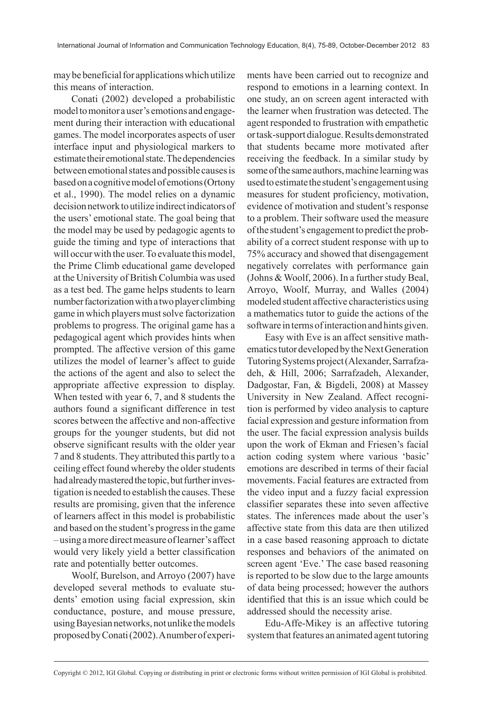may be beneficial for applications which utilize this means of interaction.

Conati (2002) developed a probabilistic model to monitor a user's emotions and engagement during their interaction with educational games. The model incorporates aspects of user interface input and physiological markers to estimate their emotional state. The dependencies between emotional states and possible causes is based on a cognitive model of emotions (Ortony et al., 1990). The model relies on a dynamic decision network to utilize indirect indicators of the users' emotional state. The goal being that the model may be used by pedagogic agents to guide the timing and type of interactions that will occur with the user. To evaluate this model, the Prime Climb educational game developed at the University of British Columbia was used as a test bed. The game helps students to learn number factorization with a two player climbing game in which players must solve factorization problems to progress. The original game has a pedagogical agent which provides hints when prompted. The affective version of this game utilizes the model of learner's affect to guide the actions of the agent and also to select the appropriate affective expression to display. When tested with year 6, 7, and 8 students the authors found a significant difference in test scores between the affective and non-affective groups for the younger students, but did not observe significant results with the older year 7 and 8 students. They attributed this partly to a ceiling effect found whereby the older students had already mastered the topic, but further investigation is needed to establish the causes. These results are promising, given that the inference of learners affect in this model is probabilistic and based on the student's progress in the game – using a more direct measure of learner's affect would very likely yield a better classification rate and potentially better outcomes.

Woolf, Burelson, and Arroyo (2007) have developed several methods to evaluate students' emotion using facial expression, skin conductance, posture, and mouse pressure, using Bayesian networks, not unlike the models proposed by Conati (2002). A number of experiments have been carried out to recognize and respond to emotions in a learning context. In one study, an on screen agent interacted with the learner when frustration was detected. The agent responded to frustration with empathetic or task-support dialogue. Results demonstrated that students became more motivated after receiving the feedback. In a similar study by some of the same authors, machine learning was used to estimate the student's engagement using measures for student proficiency, motivation, evidence of motivation and student's response to a problem. Their software used the measure of the student's engagement to predict the probability of a correct student response with up to 75% accuracy and showed that disengagement negatively correlates with performance gain (Johns & Woolf, 2006). In a further study Beal, Arroyo, Woolf, Murray, and Walles (2004) modeled student affective characteristics using a mathematics tutor to guide the actions of the software in terms of interaction and hints given.

Easy with Eve is an affect sensitive mathematics tutor developed by the Next Generation Tutoring Systems project (Alexander, Sarrafzadeh, & Hill, 2006; Sarrafzadeh, Alexander, Dadgostar, Fan, & Bigdeli, 2008) at Massey University in New Zealand. Affect recognition is performed by video analysis to capture facial expression and gesture information from the user. The facial expression analysis builds upon the work of Ekman and Friesen's facial action coding system where various 'basic' emotions are described in terms of their facial movements. Facial features are extracted from the video input and a fuzzy facial expression classifier separates these into seven affective states. The inferences made about the user's affective state from this data are then utilized in a case based reasoning approach to dictate responses and behaviors of the animated on screen agent 'Eve.' The case based reasoning is reported to be slow due to the large amounts of data being processed; however the authors identified that this is an issue which could be addressed should the necessity arise.

Edu-Affe-Mikey is an affective tutoring system that features an animated agent tutoring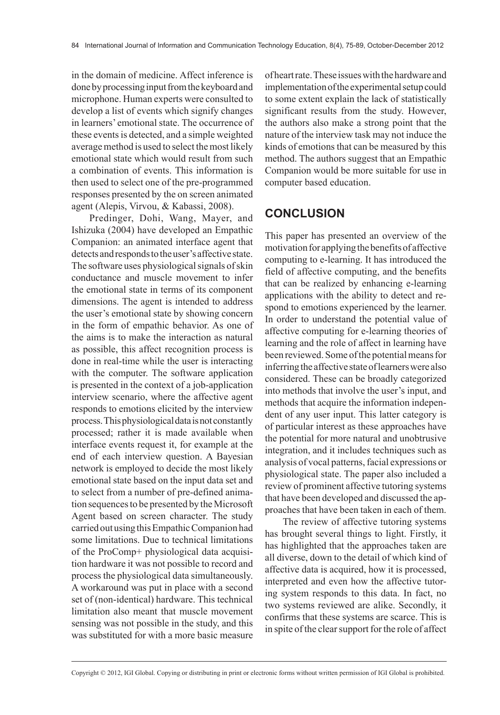in the domain of medicine. Affect inference is done by processing input from the keyboard and microphone. Human experts were consulted to develop a list of events which signify changes in learners' emotional state. The occurrence of these events is detected, and a simple weighted average method is used to select the most likely emotional state which would result from such a combination of events. This information is then used to select one of the pre-programmed responses presented by the on screen animated agent (Alepis, Virvou, & Kabassi, 2008).

Predinger, Dohi, Wang, Mayer, and Ishizuka (2004) have developed an Empathic Companion: an animated interface agent that detects and responds to the user's affective state. The software uses physiological signals of skin conductance and muscle movement to infer the emotional state in terms of its component dimensions. The agent is intended to address the user's emotional state by showing concern in the form of empathic behavior. As one of the aims is to make the interaction as natural as possible, this affect recognition process is done in real-time while the user is interacting with the computer. The software application is presented in the context of a job-application interview scenario, where the affective agent responds to emotions elicited by the interview process. This physiological data is not constantly processed; rather it is made available when interface events request it, for example at the end of each interview question. A Bayesian network is employed to decide the most likely emotional state based on the input data set and to select from a number of pre-defined animation sequences to be presented by the Microsoft Agent based on screen character. The study carried out using this Empathic Companion had some limitations. Due to technical limitations of the ProComp+ physiological data acquisition hardware it was not possible to record and process the physiological data simultaneously. A workaround was put in place with a second set of (non-identical) hardware. This technical limitation also meant that muscle movement sensing was not possible in the study, and this was substituted for with a more basic measure

of heart rate. These issues with the hardware and implementation of the experimental setup could to some extent explain the lack of statistically significant results from the study. However, the authors also make a strong point that the nature of the interview task may not induce the kinds of emotions that can be measured by this method. The authors suggest that an Empathic Companion would be more suitable for use in computer based education.

#### **CONCLUSION**

This paper has presented an overview of the motivation for applying the benefits of affective computing to e-learning. It has introduced the field of affective computing, and the benefits that can be realized by enhancing e-learning applications with the ability to detect and respond to emotions experienced by the learner. In order to understand the potential value of affective computing for e-learning theories of learning and the role of affect in learning have been reviewed. Some of the potential means for inferring the affective state of learners were also considered. These can be broadly categorized into methods that involve the user's input, and methods that acquire the information independent of any user input. This latter category is of particular interest as these approaches have the potential for more natural and unobtrusive integration, and it includes techniques such as analysis of vocal patterns, facial expressions or physiological state. The paper also included a review of prominent affective tutoring systems that have been developed and discussed the approaches that have been taken in each of them.

The review of affective tutoring systems has brought several things to light. Firstly, it has highlighted that the approaches taken are all diverse, down to the detail of which kind of affective data is acquired, how it is processed, interpreted and even how the affective tutoring system responds to this data. In fact, no two systems reviewed are alike. Secondly, it confirms that these systems are scarce. This is in spite of the clear support for the role of affect

Copyright © 2012, IGI Global. Copying or distributing in print or electronic forms without written permission of IGI Global is prohibited.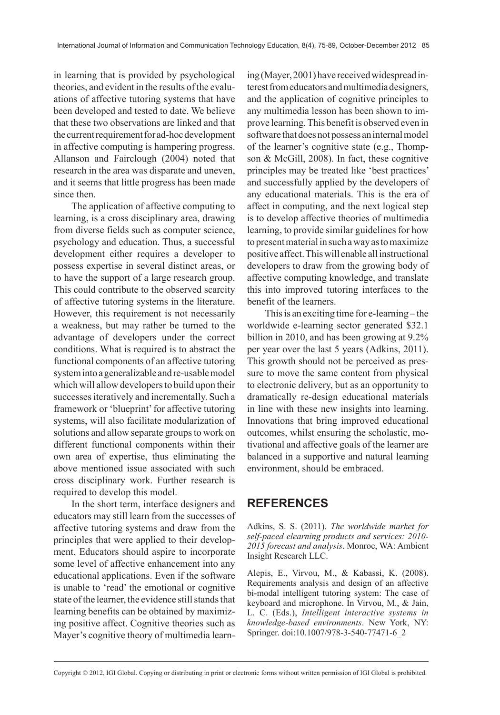in learning that is provided by psychological theories, and evident in the results of the evaluations of affective tutoring systems that have been developed and tested to date. We believe that these two observations are linked and that the current requirement for ad-hoc development in affective computing is hampering progress. Allanson and Fairclough (2004) noted that research in the area was disparate and uneven, and it seems that little progress has been made since then.

The application of affective computing to learning, is a cross disciplinary area, drawing from diverse fields such as computer science, psychology and education. Thus, a successful development either requires a developer to possess expertise in several distinct areas, or to have the support of a large research group. This could contribute to the observed scarcity of affective tutoring systems in the literature. However, this requirement is not necessarily a weakness, but may rather be turned to the advantage of developers under the correct conditions. What is required is to abstract the functional components of an affective tutoring system into a generalizable and re-usable model which will allow developers to build upon their successes iteratively and incrementally. Such a framework or 'blueprint' for affective tutoring systems, will also facilitate modularization of solutions and allow separate groups to work on different functional components within their own area of expertise, thus eliminating the above mentioned issue associated with such cross disciplinary work. Further research is required to develop this model.

In the short term, interface designers and educators may still learn from the successes of affective tutoring systems and draw from the principles that were applied to their development. Educators should aspire to incorporate some level of affective enhancement into any educational applications. Even if the software is unable to 'read' the emotional or cognitive state of the learner, the evidence still stands that learning benefits can be obtained by maximizing positive affect. Cognitive theories such as Mayer's cognitive theory of multimedia learning (Mayer, 2001) have received widespread interest from educators and multimedia designers, and the application of cognitive principles to any multimedia lesson has been shown to improve learning. This benefit is observed even in software that does not possess an internal model of the learner's cognitive state (e.g., Thompson & McGill, 2008). In fact, these cognitive principles may be treated like 'best practices' and successfully applied by the developers of any educational materials. This is the era of affect in computing, and the next logical step is to develop affective theories of multimedia learning, to provide similar guidelines for how to present material in such a way as to maximize positive affect. This will enable all instructional developers to draw from the growing body of affective computing knowledge, and translate this into improved tutoring interfaces to the benefit of the learners.

This is an exciting time for e-learning – the worldwide e-learning sector generated \$32.1 billion in 2010, and has been growing at 9.2% per year over the last 5 years (Adkins, 2011). This growth should not be perceived as pressure to move the same content from physical to electronic delivery, but as an opportunity to dramatically re-design educational materials in line with these new insights into learning. Innovations that bring improved educational outcomes, whilst ensuring the scholastic, motivational and affective goals of the learner are balanced in a supportive and natural learning environment, should be embraced.

#### **REFERENCES**

Adkins, S. S. (2011). *The worldwide market for self-paced elearning products and services: 2010- 2015 forecast and analysis*. Monroe, WA: Ambient Insight Research LLC.

Alepis, E., Virvou, M., & Kabassi, K. (2008). Requirements analysis and design of an affective bi-modal intelligent tutoring system: The case of keyboard and microphone. In Virvou, M., & Jain, L. C. (Eds.), *Intelligent interactive systems in knowledge-based environments*. New York, NY: Springer. doi:10.1007/978-3-540-77471-6\_2

Copyright © 2012, IGI Global. Copying or distributing in print or electronic forms without written permission of IGI Global is prohibited.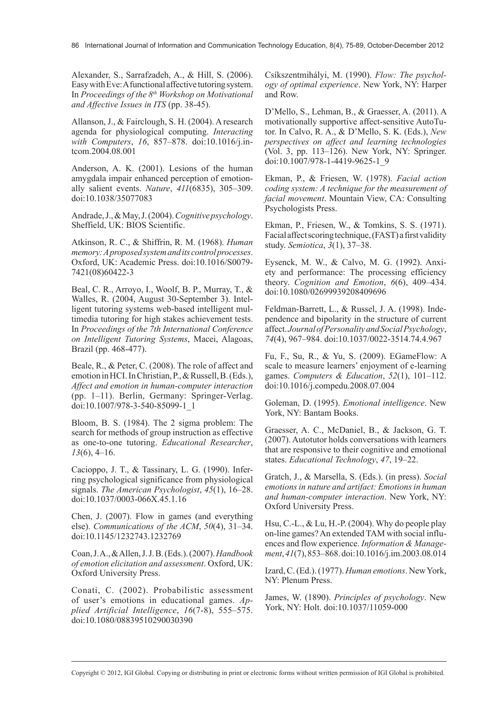Alexander, S., Sarrafzadeh, A., & Hill, S. (2006). Easy with Eve: A functional affective tutoring system. In *Proceedings of the 8th Workshop on Motivational and Affective Issues in ITS* (pp. 38-45).

Allanson, J., & Fairclough, S. H. (2004). A research agenda for physiological computing. *Interacting with Computers*, *16*, 857–878. doi:10.1016/j.intcom.2004.08.001

Anderson, A. K. (2001). Lesions of the human amygdala impair enhanced perception of emotionally salient events. *Nature*, *411*(6835), 305–309. doi:10.1038/35077083

Andrade, J., & May, J. (2004). *Cognitive psychology*. Sheffield, UK: BIOS Scientific.

Atkinson, R. C., & Shiffrin, R. M. (1968). *Human memory: A proposed system and its control processes*. Oxford, UK: Academic Press. doi:10.1016/S0079- 7421(08)60422-3

Beal, C. R., Arroyo, I., Woolf, B. P., Murray, T., & Walles, R. (2004, August 30-September 3). Intelligent tutoring systems web-based intelligent multimedia tutoring for high stakes achievement tests. In *Proceedings of the 7th International Conference on Intelligent Tutoring Systems*, Macei, Alagoas, Brazil (pp. 468-477).

Beale, R., & Peter, C. (2008). The role of affect and emotion in HCI. In Christian, P., & Russell, B. (Eds.), *Affect and emotion in human-computer interaction* (pp. 1–11). Berlin, Germany: Springer-Verlag. doi:10.1007/978-3-540-85099-1\_1

Bloom, B. S. (1984). The 2 sigma problem: The search for methods of group instruction as effective as one-to-one tutoring. *Educational Researcher*, *13*(6), 4–16.

Cacioppo, J. T., & Tassinary, L. G. (1990). Inferring psychological significance from physiological signals. *The American Psychologist*, *45*(1), 16–28. doi:10.1037/0003-066X.45.1.16

Chen, J. (2007). Flow in games (and everything else). *Communications of the ACM*, *50*(4), 31–34. doi:10.1145/1232743.1232769

Coan, J. A., & Allen, J. J. B. (Eds.). (2007). *Handbook of emotion elicitation and assessment*. Oxford, UK: Oxford University Press.

Conati, C. (2002). Probabilistic assessment of user's emotions in educational games. *Applied Artificial Intelligence*, *16*(7-8), 555–575. doi:10.1080/08839510290030390

Csíkszentmihályi, M. (1990). *Flow: The psychology of optimal experience*. New York, NY: Harper and Row.

D'Mello, S., Lehman, B., & Graesser, A. (2011). A motivationally supportive affect-sensitive AutoTutor. In Calvo, R. A., & D'Mello, S. K. (Eds.), *New perspectives on affect and learning technologies* (Vol. 3, pp. 113–126). New York, NY: Springer. doi:10.1007/978-1-4419-9625-1\_9

Ekman, P., & Friesen, W. (1978). *Facial action coding system: A technique for the measurement of facial movement*. Mountain View, CA: Consulting Psychologists Press.

Ekman, P., Friesen, W., & Tomkins, S. S. (1971). Facial affect scoring technique, (FAST) a first validity study. *Semiotica*, *3*(1), 37–38.

Eysenck, M. W., & Calvo, M. G. (1992). Anxiety and performance: The processing efficiency theory. *Cognition and Emotion*, *6*(6), 409–434. doi:10.1080/02699939208409696

Feldman-Barrett, L., & Russel, J. A. (1998). Independence and bipolarity in the structure of current affect. *Journal of Personality and Social Psychology*, *74*(4), 967–984. doi:10.1037/0022-3514.74.4.967

Fu, F., Su, R., & Yu, S. (2009). EGameFlow: A scale to measure learners' enjoyment of e-learning games. *Computers & Education*, *52*(1), 101–112. doi:10.1016/j.compedu.2008.07.004

Goleman, D. (1995). *Emotional intelligence*. New York, NY: Bantam Books.

Graesser, A. C., McDaniel, B., & Jackson, G. T. (2007). Autotutor holds conversations with learners that are responsive to their cognitive and emotional states. *Educational Technology*, *47*, 19–22.

Gratch, J., & Marsella, S. (Eds.). (in press). *Social emotions in nature and artifact: Emotions in human and human-computer interaction*. New York, NY: Oxford University Press.

Hsu, C.-L.,  $&$  Lu, H.-P. (2004). Why do people play on-line games? An extended TAM with social influences and flow experience. *Information & Management*, *41*(7), 853–868. doi:10.1016/j.im.2003.08.014

Izard, C. (Ed.). (1977). *Human emotions*. New York, NY: Plenum Press.

James, W. (1890). *Principles of psychology*. New York, NY: Holt. doi:10.1037/11059-000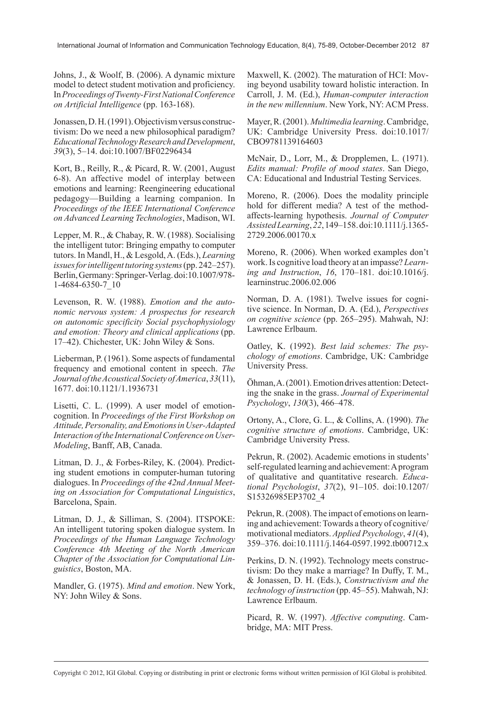Johns, J., & Woolf, B. (2006). A dynamic mixture model to detect student motivation and proficiency. In *Proceedings of Twenty-First National Conference on Artificial Intelligence* (pp. 163-168).

Jonassen, D. H. (1991). Objectivism versus constructivism: Do we need a new philosophical paradigm? *Educational Technology Research and Development*, *39*(3), 5–14. doi:10.1007/BF02296434

Kort, B., Reilly, R., & Picard, R. W. (2001, August 6-8). An affective model of interplay between emotions and learning: Reengineering educational pedagogy—Building a learning companion. In *Proceedings of the IEEE International Conference on Advanced Learning Technologies*, Madison, WI.

Lepper, M. R., & Chabay, R. W. (1988). Socialising the intelligent tutor: Bringing empathy to computer tutors. In Mandl, H., & Lesgold, A. (Eds.), *Learning issues for intelligent tutoring systems* (pp. 242–257). Berlin, Germany: Springer-Verlag. doi:10.1007/978- 1-4684-6350-7\_10

Levenson, R. W. (1988). *Emotion and the autonomic nervous system: A prospectus for research on autonomic specificity Social psychophysiology and emotion: Theory and clinical applications* (pp. 17–42). Chichester, UK: John Wiley & Sons.

Lieberman, P. (1961). Some aspects of fundamental frequency and emotional content in speech. *The Journal of the Acoustical Society of America*, *33*(11), 1677. doi:10.1121/1.1936731

Lisetti, C. L. (1999). A user model of emotioncognition. In *Proceedings of the First Workshop on Attitude, Personality, and Emotions in User-Adapted Interaction of the International Conference on User-Modeling*, Banff, AB, Canada.

Litman, D. J., & Forbes-Riley, K. (2004). Predicting student emotions in computer-human tutoring dialogues. In *Proceedings of the 42nd Annual Meeting on Association for Computational Linguistics*, Barcelona, Spain.

Litman, D. J., & Silliman, S. (2004). ITSPOKE: An intelligent tutoring spoken dialogue system. In *Proceedings of the Human Language Technology Conference 4th Meeting of the North American Chapter of the Association for Computational Linguistics*, Boston, MA.

Mandler, G. (1975). *Mind and emotion*. New York, NY: John Wiley & Sons.

Maxwell, K. (2002). The maturation of HCI: Moving beyond usability toward holistic interaction. In Carroll, J. M. (Ed.), *Human-computer interaction in the new millennium*. New York, NY: ACM Press.

Mayer, R. (2001). *Multimedia learning*. Cambridge, UK: Cambridge University Press. doi:10.1017/ CBO9781139164603

McNair, D., Lorr, M., & Dropplemen, L. (1971). *Edits manual: Profile of mood states*. San Diego, CA: Educational and Industrial Testing Services.

Moreno, R. (2006). Does the modality principle hold for different media? A test of the methodaffects-learning hypothesis. *Journal of Computer Assisted Learning*, *22*, 149–158. doi:10.1111/j.1365- 2729.2006.00170.x

Moreno, R. (2006). When worked examples don't work. Is cognitive load theory at an impasse? *Learning and Instruction*, *16*, 170–181. doi:10.1016/j. learninstruc.2006.02.006

Norman, D. A. (1981). Twelve issues for cognitive science. In Norman, D. A. (Ed.), *Perspectives on cognitive science* (pp. 265–295). Mahwah, NJ: Lawrence Erlbaum.

Oatley, K. (1992). *Best laid schemes: The psychology of emotions*. Cambridge, UK: Cambridge University Press.

Öhman, A. (2001). Emotion drives attention: Detecting the snake in the grass. *Journal of Experimental Psychology*, *130*(3), 466–478.

Ortony, A., Clore, G. L., & Collins, A. (1990). *The cognitive structure of emotions*. Cambridge, UK: Cambridge University Press.

Pekrun, R. (2002). Academic emotions in students' self-regulated learning and achievement: A program of qualitative and quantitative research. *Educational Psychologist*, *37*(2), 91–105. doi:10.1207/ S15326985EP3702\_4

Pekrun, R. (2008). The impact of emotions on learning and achievement: Towards a theory of cognitive/ motivational mediators. *Applied Psychology*, *41*(4), 359–376. doi:10.1111/j.1464-0597.1992.tb00712.x

Perkins, D. N. (1992). Technology meets constructivism: Do they make a marriage? In Duffy, T. M., & Jonassen, D. H. (Eds.), *Constructivism and the technology of instruction* (pp. 45–55). Mahwah, NJ: Lawrence Erlbaum.

Picard, R. W. (1997). *Affective computing*. Cambridge, MA: MIT Press.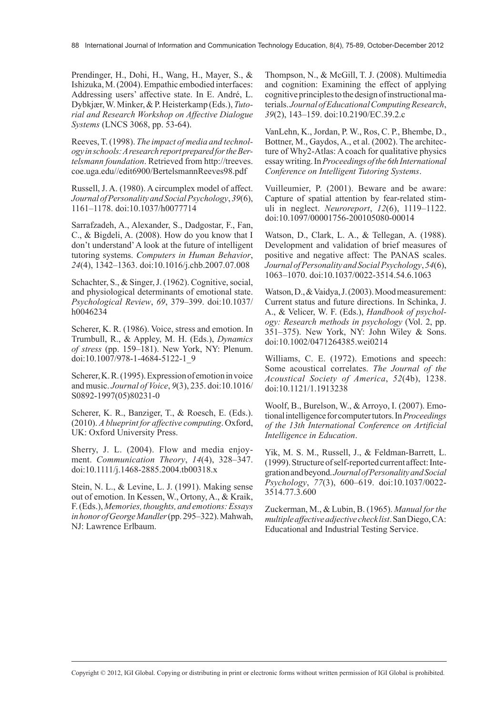Prendinger, H., Dohi, H., Wang, H., Mayer, S., & Ishizuka, M. (2004). Empathic embodied interfaces: Addressing users' affective state. In E. André, L. Dybkjær, W. Minker, & P. Heisterkamp (Eds.), *Tutorial and Research Workshop on Affective Dialogue Systems* (LNCS 3068, pp. 53-64).

Reeves, T. (1998). *The impact of media and technology in schools: A research report prepared for the Bertelsmann foundation*. Retrieved from http://treeves. coe.uga.edu//edit6900/BertelsmannReeves98.pdf

Russell, J. A. (1980). A circumplex model of affect. *Journal of Personality and Social Psychology*, *39*(6), 1161–1178. doi:10.1037/h0077714

Sarrafzadeh, A., Alexander, S., Dadgostar, F., Fan, C., & Bigdeli, A. (2008). How do you know that I don't understand' A look at the future of intelligent tutoring systems. *Computers in Human Behavior*, *24*(4), 1342–1363. doi:10.1016/j.chb.2007.07.008

Schachter, S., & Singer, J. (1962). Cognitive, social, and physiological determinants of emotional state. *Psychological Review*, *69*, 379–399. doi:10.1037/ h0046234

Scherer, K. R. (1986). Voice, stress and emotion. In Trumbull, R., & Appley, M. H. (Eds.), *Dynamics of stress* (pp. 159–181). New York, NY: Plenum. doi:10.1007/978-1-4684-5122-1\_9

Scherer, K. R. (1995). Expression of emotion in voice and music. *Journal of Voice*, *9*(3), 235. doi:10.1016/ S0892-1997(05)80231-0

Scherer, K. R., Banziger, T., & Roesch, E. (Eds.). (2010). *A blueprint for affective computing*. Oxford, UK: Oxford University Press.

Sherry, J. L. (2004). Flow and media enjoyment. *Communication Theory*, *14*(4), 328–347. doi:10.1111/j.1468-2885.2004.tb00318.x

Stein, N. L., & Levine, L. J. (1991). Making sense out of emotion. In Kessen, W., Ortony, A., & Kraik, F. (Eds.), *Memories, thoughts, and emotions: Essays in honor of George Mandler* (pp. 295–322). Mahwah, NJ: Lawrence Erlbaum.

Thompson, N., & McGill, T. J. (2008). Multimedia and cognition: Examining the effect of applying cognitive principles to the design of instructional materials. *Journal of Educational Computing Research*, *39*(2), 143–159. doi:10.2190/EC.39.2.c

VanLehn, K., Jordan, P. W., Ros, C. P., Bhembe, D., Bottner, M., Gaydos, A., et al. (2002). The architecture of Why2-Atlas: A coach for qualitative physics essay writing. In *Proceedings of the 6th International Conference on Intelligent Tutoring Systems*.

Vuilleumier, P. (2001). Beware and be aware: Capture of spatial attention by fear-related stimuli in neglect. *Neuroreport*, *12*(6), 1119–1122. doi:10.1097/00001756-200105080-00014

Watson, D., Clark, L. A., & Tellegan, A. (1988). Development and validation of brief measures of positive and negative affect: The PANAS scales. *Journal of Personality and Social Psychology*, *54*(6), 1063–1070. doi:10.1037/0022-3514.54.6.1063

Watson, D., & Vaidya, J. (2003). Mood measurement: Current status and future directions. In Schinka, J. A., & Velicer, W. F. (Eds.), *Handbook of psychology: Research methods in psychology* (Vol. 2, pp. 351–375). New York, NY: John Wiley & Sons. doi:10.1002/0471264385.wei0214

Williams, C. E. (1972). Emotions and speech: Some acoustical correlates. *The Journal of the Acoustical Society of America*, *52*(4b), 1238. doi:10.1121/1.1913238

Woolf, B., Burelson, W., & Arroyo, I. (2007). Emotional intelligence for computer tutors. In *Proceedings of the 13th International Conference on Artificial Intelligence in Education*.

Yik, M. S. M., Russell, J., & Feldman-Barrett, L. (1999). Structure of self-reported current affect: Integration and beyond. *Journal of Personality and Social Psychology*, *77*(3), 600–619. doi:10.1037/0022- 3514.77.3.600

Zuckerman, M., & Lubin, B. (1965). *Manual for the multiple affective adjective check list*. San Diego, CA: Educational and Industrial Testing Service.